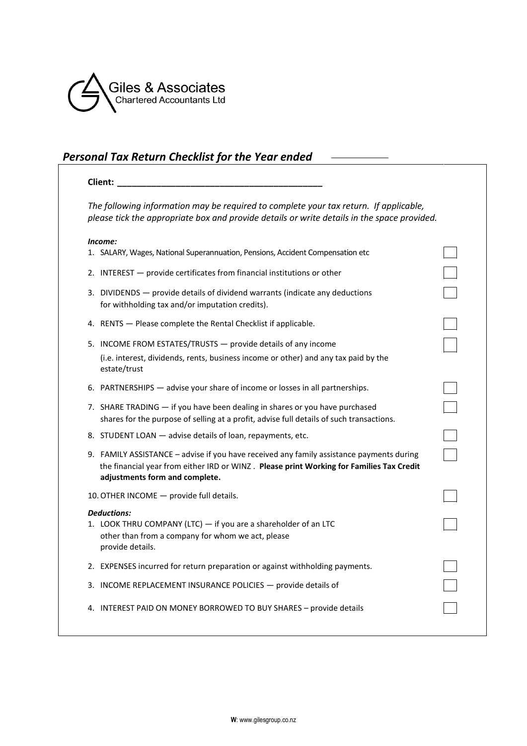

## *Personal Tax Return Checklist for the Year ended*

| Client:                                                                                                                                                                                                                 |  |
|-------------------------------------------------------------------------------------------------------------------------------------------------------------------------------------------------------------------------|--|
| The following information may be required to complete your tax return. If applicable,<br>please tick the appropriate box and provide details or write details in the space provided.                                    |  |
| Income:<br>1. SALARY, Wages, National Superannuation, Pensions, Accident Compensation etc                                                                                                                               |  |
| 2. INTEREST - provide certificates from financial institutions or other                                                                                                                                                 |  |
| 3. DIVIDENDS — provide details of dividend warrants (indicate any deductions<br>for withholding tax and/or imputation credits).                                                                                         |  |
| 4. RENTS - Please complete the Rental Checklist if applicable.                                                                                                                                                          |  |
| 5. INCOME FROM ESTATES/TRUSTS - provide details of any income<br>(i.e. interest, dividends, rents, business income or other) and any tax paid by the<br>estate/trust                                                    |  |
| 6. PARTNERSHIPS - advise your share of income or losses in all partnerships.                                                                                                                                            |  |
| 7. SHARE TRADING - if you have been dealing in shares or you have purchased<br>shares for the purpose of selling at a profit, advise full details of such transactions.                                                 |  |
| 8. STUDENT LOAN - advise details of loan, repayments, etc.                                                                                                                                                              |  |
| 9. FAMILY ASSISTANCE - advise if you have received any family assistance payments during<br>the financial year from either IRD or WINZ . Please print Working for Families Tax Credit<br>adjustments form and complete. |  |
| 10. OTHER INCOME - provide full details.                                                                                                                                                                                |  |
| <b>Deductions:</b><br>1. LOOK THRU COMPANY (LTC) - if you are a shareholder of an LTC<br>other than from a company for whom we act, please<br>provide details.                                                          |  |
| 2. EXPENSES incurred for return preparation or against withholding payments.                                                                                                                                            |  |
| 3. INCOME REPLACEMENT INSURANCE POLICIES - provide details of                                                                                                                                                           |  |
| 4. INTEREST PAID ON MONEY BORROWED TO BUY SHARES - provide details                                                                                                                                                      |  |

┑